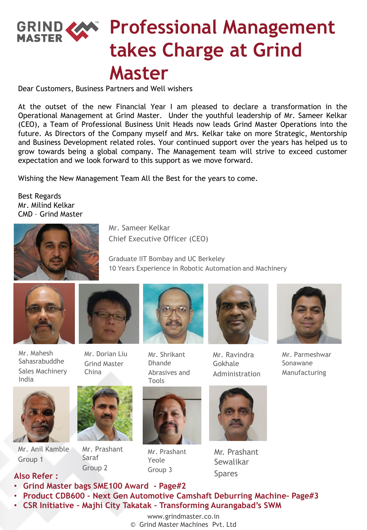### **Professional Management takes Charge at Grind Master**

Dear Customers, Business Partners and Well wishers

At the outset of the new Financial Year I am pleased to declare a transformation in the Operational Management at Grind Master. Under the youthful leadership of Mr. Sameer Kelkar (CEO), a Team of Professional Business Unit Heads now leads Grind Master Operations into the future. As Directors of the Company myself and Mrs. Kelkar take on more Strategic, Mentorship and Business Development related roles. Your continued support over the years has helped us to grow towards being a global company. The Management team will strive to exceed customer expectation and we look forward to this support as we move forward.

Wishing the New Management Team All the Best for the years to come.

Best Regards Mr. Milind Kelkar CMD – Grind Master



Mr. Sameer Kelkar Chief Executive Officer (CEO)

Graduate IIT Bombay and UC Berkeley 10 Years Experience in Robotic Automation and Machinery



Mr. Mahesh Sahasrabuddhe Sales Machinery India







Mr. Anil Kamble Group 1

Mr. Prashant

Saraf Group 2



Mr. Prashant Yeole Group 3



Mr. Ravindra Gokhale Administration



Mr. Prashant Sewalikar Spares



Mr. Parmeshwar Sonawane Manufacturing

#### **Also Refer :**

- **Grind Master bags SME100 Award - Page#2**
- **Product CDB600 – Next Gen Automotive Camshaft Deburring Machine– Page#3**

Mr. Shrikant Dhande

Abrasives and

Tools

- **CSR Initiative – Majhi City Takatak – Transforming Aurangabad's SWM** 
	- www.grindmaster.co.in
	- © Grind Master Machines Pvt. Ltd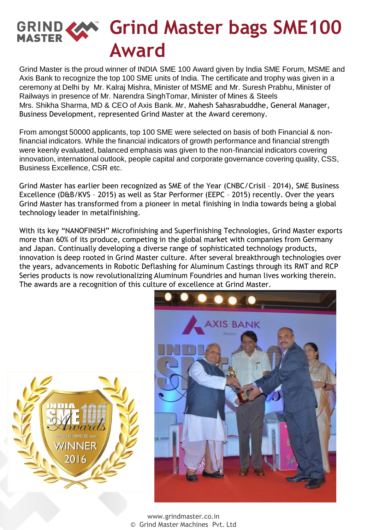### **Grind Master bags SME100 GRIND & Award**

Grind Master is the proud winner of INDIA SME 100 Award given by India SME Forum, MSME and Axis Bank to recognize the top 100 SME units of India. The certificate and trophy was given in a ceremony at Delhi by Mr. Kalraj Mishra, Minister of MSME and Mr. Suresh Prabhu, Minister of Railways in presence of Mr. Narendra SinghTomar, Minister of Mines & Steels Mrs. Shikha Sharma, MD & CEO of Axis Bank. Mr. Mahesh Sahasrabuddhe, General Manager, Business Development, represented Grind Master at the Award ceremony.

From amongst 50000 applicants, top 100 SME were selected on basis of both Financial & nonfinancial indicators. While the financial indicators of growth performance and financial strength were keenly evaluated, balanced emphasis was given to the non-financial indicators covering innovation, international outlook, people capital and corporate governance covering quality, CSS, Business Excellence, CSR etc.

Grind Master has earlier been recognized as SME of the Year (CNBC/Crisil – 2014), SME Business Excellence (D&B/KVS – 2015) as well as Star Performer (EEPC – 2015) recently. Over the years Grind Master has transformed from a pioneer in metal finishing in India towards being a global technology leader in metalfinishing.

With its key "NANOFINISH" Microfinishing and Superfinishing Technologies, Grind Master exports more than 60% of its produce, competing in the global market with companies from Germany and Japan. Continually developing a diverse range of sophisticated technology products, innovation is deep rooted in Grind Master culture. After several breakthrough technologies over the years, advancements in Robotic Deflashing for Aluminum Castings through its RMT and RCP Series products is now revolutionalizing Aluminum Foundries and human lives working therein. The awards are a recognition of this culture of excellence at Grind Master.



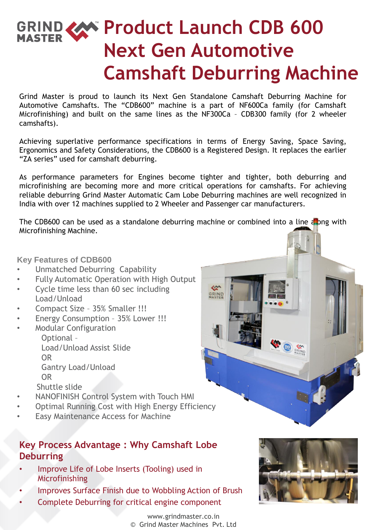# **GRIND CAN Product Launch CDB 600 Next Gen Automotive Camshaft Deburring Machine**

Grind Master is proud to launch its Next Gen Standalone Camshaft Deburring Machine for Automotive Camshafts. The "CDB600" machine is a part of NF600Ca family (for Camshaft Microfinishing) and built on the same lines as the NF300Ca – CDB300 family (for 2 wheeler camshafts).

Achieving superlative performance specifications in terms of Energy Saving, Space Saving, Ergonomics and Safety Considerations, the CDB600 is a Registered Design. It replaces the earlier "ZA series" used for camshaft deburring.

As performance parameters for Engines become tighter and tighter, both deburring and microfinishing are becoming more and more critical operations for camshafts. For achieving reliable deburring Grind Master Automatic Cam Lobe Deburring machines are well recognized in India with over 12 machines supplied to 2 Wheeler and Passenger car manufacturers.

The CDB600 can be used as a standalone deburring machine or combined into a line along with Microfinishing Machine.

GRIND

#### **Key Features of CDB600**

- Unmatched Deburring Capability
- Fully Automatic Operation with High Output
- Cycle time less than 60 sec including Load/Unload
- Compact Size 35% Smaller !!!
- Energy Consumption 35% Lower !!!
- Modular Configuration

Optional – Load/Unload Assist Slide OR Gantry Load/Unload OR

Shuttle slide

- NANOFINISH Control System with Touch HMI
- Optimal Running Cost with High Energy Efficiency
- Easy Maintenance Access for Machine

#### **Key Process Advantage : Why Camshaft Lobe Deburring**

- Improve Life of Lobe Inserts (Tooling) used in Microfinishing
- Improves Surface Finish due to Wobbling Action of Brush
- Complete Deburring for critical engine component

www.grindmaster.co.in © Grind Master Machines Pvt. Ltd